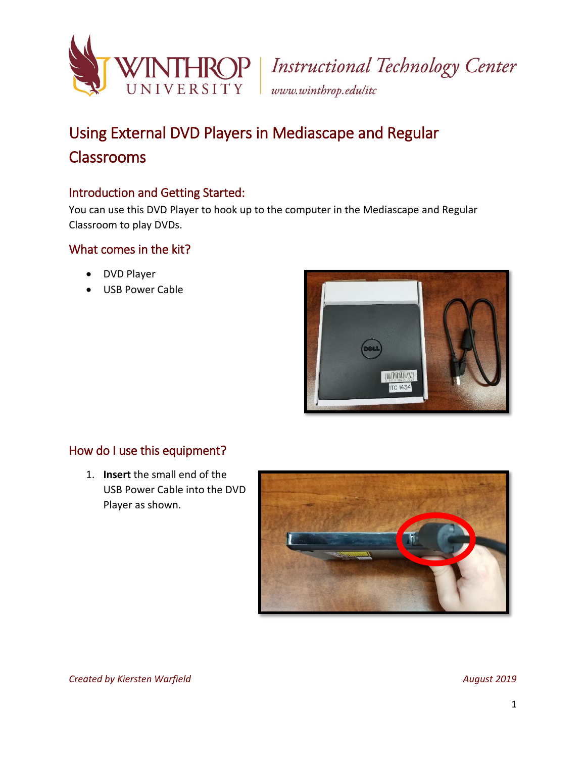

# Using External DVD Players in Mediascape and Regular Classrooms

## Introduction and Getting Started:

You can use this DVD Player to hook up to the computer in the Mediascape and Regular Classroom to play DVDs.

### What comes in the kit?

- DVD Player
- USB Power Cable



### How do I use this equipment?

1. **Insert** the small end of the USB Power Cable into the DVD Player as shown.

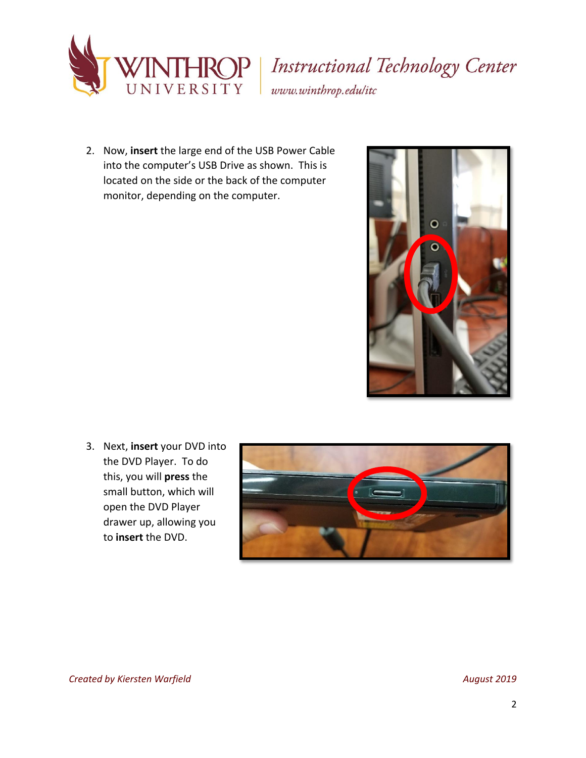

# HROP | Instructional Technology Center www.winthrop.edulitc

2. Now, **insert** the large end of the USB Power Cable into the computer's USB Drive as shown. This is located on the side or the back of the computer monitor, depending on the computer.



3. Next, **insert** your DVD into the DVD Player. To do this, you will **press** the small button, which will open the DVD Player drawer up, allowing you to **insert** the DVD.

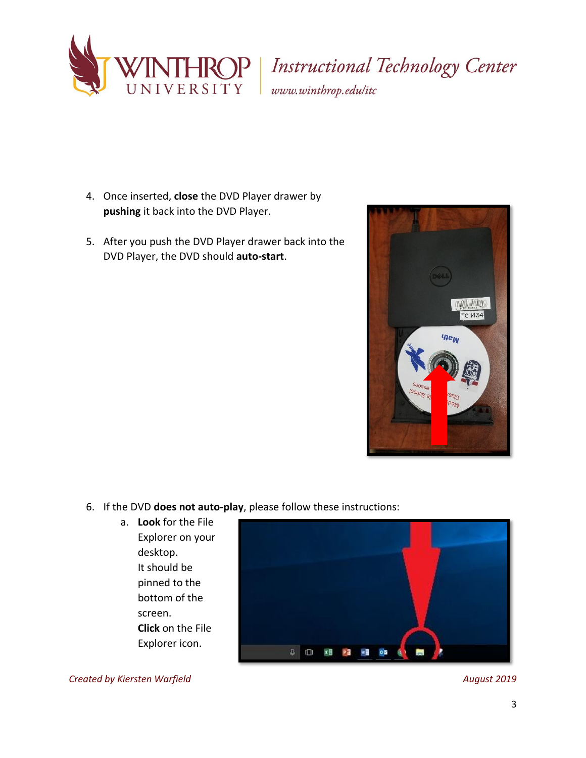

**IROP** | Instructional Technology Center

www.winthrop.edulitc

- 4. Once inserted, **close** the DVD Player drawer by **pushing** it back into the DVD Player.
- 5. After you push the DVD Player drawer back into the DVD Player, the DVD should **auto-start**.



- 6. If the DVD **does not auto-play**, please follow these instructions:
	- a. **Look** for the File Explorer on your desktop. It should be pinned to the bottom of the screen. **Click** on the File Explorer icon.



*Created by Kiersten Warfield August 2019*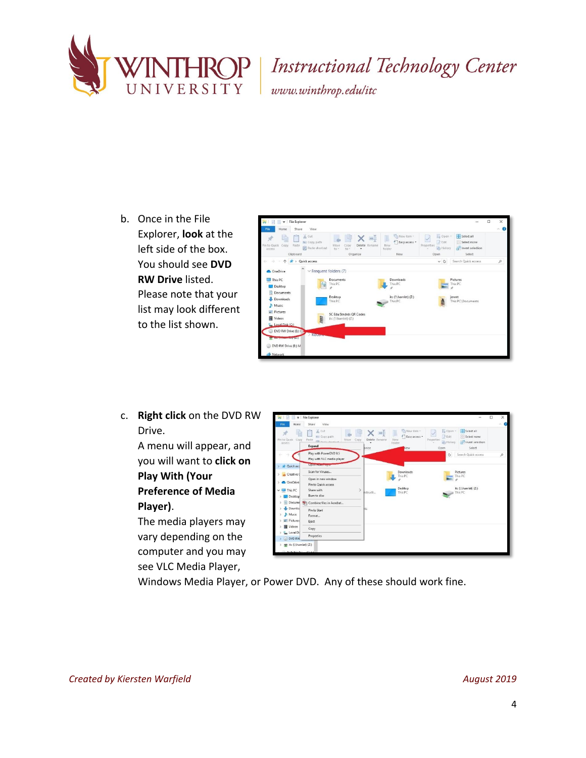

Instructional Technology Center

www.winthrop.edulitc

b. Once in the File Explorer, **look** at the left side of the box. You should see **DVD RW Drive** listed. Please note that your list may look different to the list shown.



c. **Right click** on the DVD RW Drive.

> A menu will appear, and you will want to **click on Play With (Your Preference of Media Player)**.

The media players may vary depending on the computer and you may see VLC Media Player,

| Copy Paste<br>Pin to Quick<br>access<br>sir Quick acc | % Cut<br><b>M. Copy path</b><br>Move<br>Copy<br><b>GI Automated</b><br>Expand<br>Play with PowerDVD 9.5<br>Play with VLC media player<br>Open Autor Tuym | $=$<br>Delete Rename<br>lanize | "Thew item -<br><sup>4</sup> Easy access *<br>New<br>folder<br>New | El Open -<br><b>Z</b> Edit<br>Properties<br>A History<br>Open<br>Ö | Select all<br>Select none<br>Invert selection<br>Select |               |
|-------------------------------------------------------|----------------------------------------------------------------------------------------------------------------------------------------------------------|--------------------------------|--------------------------------------------------------------------|--------------------------------------------------------------------|---------------------------------------------------------|---------------|
|                                                       |                                                                                                                                                          |                                |                                                                    |                                                                    |                                                         |               |
|                                                       |                                                                                                                                                          |                                |                                                                    |                                                                    | Search Quick access                                     | $\mathcal{L}$ |
| Creative C                                            | Scan for Viruses<br>Open in new window                                                                                                                   |                                | <b>Downloads</b><br>This PC                                        |                                                                    | <b>Pictures</b><br>This PC                              |               |
| <b>OneDrive</b><br>$\vee$ $\Box$ This PC<br>Desktop   | Pin to Quick access<br>$\mathcal{P}$<br>Share with<br>Burn to disc                                                                                       | hstructi                       | Desktop<br>This PC                                                 |                                                                    | itc (\\hamlet) (Z:)<br>This PC                          |               |
| Docume<br>像                                           | Combine files in Acrobat                                                                                                                                 |                                |                                                                    |                                                                    |                                                         |               |
| Downloa<br>Music<br>л<br>Pictures<br>Eject            | Pin to Start<br>Format                                                                                                                                   | 2J)                            |                                                                    |                                                                    |                                                         |               |
| <b>Wideos</b>                                         | Copy                                                                                                                                                     |                                |                                                                    |                                                                    |                                                         |               |
| Local Di<br><b>DVD RW</b>                             | Properties                                                                                                                                               |                                |                                                                    |                                                                    |                                                         |               |

Windows Media Player, or Power DVD. Any of these should work fine.